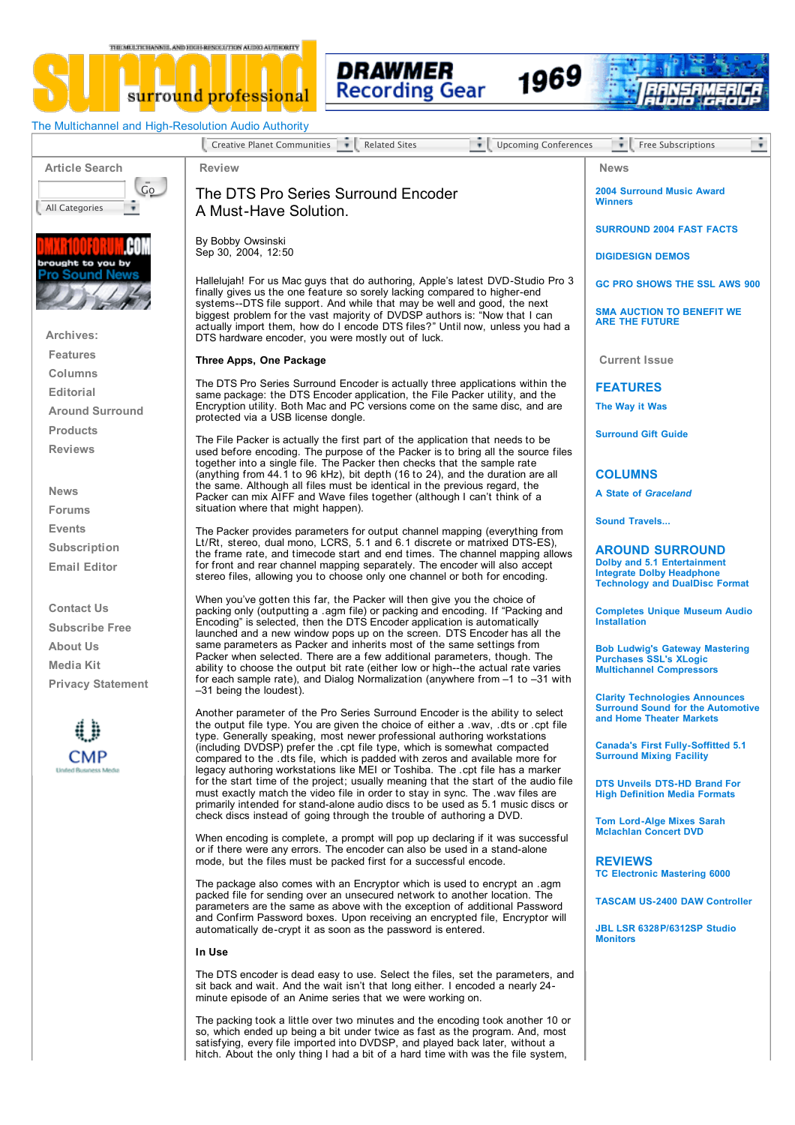THE MELTICHANNEL AND HIGH-RESOLUTION ALTEG AUTHORITY







1969

The Multichannel and High-Resolution Audio Authority